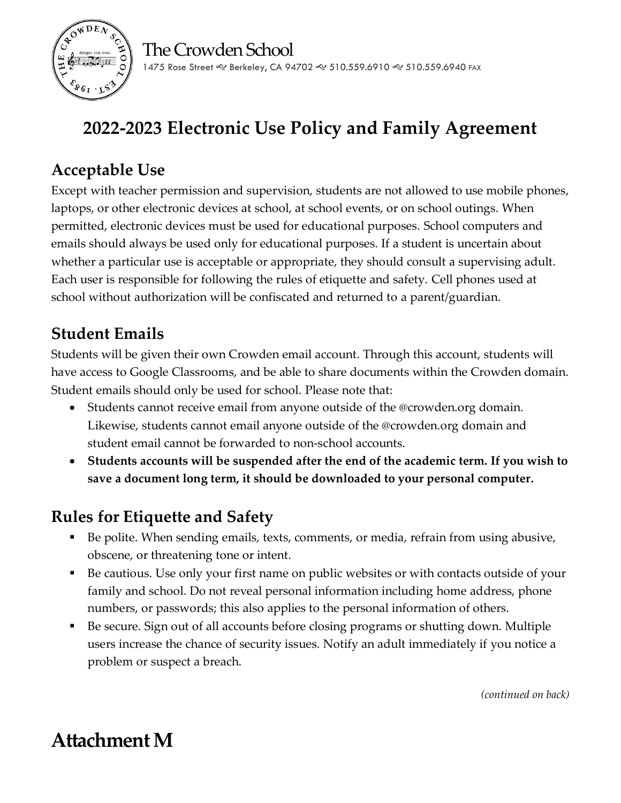



1475 Rose Street & Berkeley, CA 94702 & 510.559.6910 & 510.559.6940 FAX

# **2022-2023 Electronic Use Policy and Family Agreement**

### **Acceptable Use**

Except with teacher permission and supervision, students are not allowed to use mobile phones, laptops, or other electronic devices at school, at school events, or on school outings. When permitted, electronic devices must be used for educational purposes. School computers and emails should always be used only for educational purposes. If a student is uncertain about whether a particular use is acceptable or appropriate, they should consult a supervising adult. Each user is responsible for following the rules of etiquette and safety. Cell phones used at school without authorization will be confiscated and returned to a parent/guardian.

### **Student Emails**

Students will be given their own Crowden email account. Through this account, students will have access to Google Classrooms, and be able to share documents within the Crowden domain. Student emails should only be used for school. Please note that:

- Students cannot receive email from anyone outside of the @crowden.org domain. Likewise, students cannot email anyone outside of the @crowden.org domain and student email cannot be forwarded to non-school accounts.
- **Students accounts will be suspended after the end of the academic term. If you wish to save a document long term, it should be downloaded to your personal computer.**

#### **Rules for Etiquette and Safety**

- Be polite. When sending emails, texts, comments, or media, refrain from using abusive, obscene, or threatening tone or intent.
- Be cautious. Use only your first name on public websites or with contacts outside of your family and school. Do not reveal personal information including home address, phone numbers, or passwords; this also applies to the personal information of others.
- Be secure. Sign out of all accounts before closing programs or shutting down. Multiple users increase the chance of security issues. Notify an adult immediately if you notice a problem or suspect a breach.

*(continued on back)*

## **Attachment M**